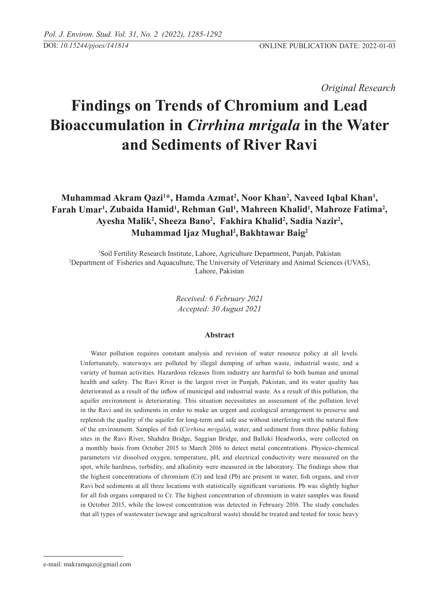*Original Research* 

# **Findings on Trends of Chromium and Lead Bioaccumulation in** *Cirrhina mrigala* **in the Water and Sediments of River Ravi**

Muhammad Akram Qazi<sup>1\*</sup>, Hamda Azmat<sup>2</sup>, Noor Khan<sup>2</sup>, Naveed Iqbal Khan<sup>1</sup>, Farah Umar<sup>1</sup>, Zubaida Hamid<sup>1</sup>, Rehman Gul<sup>1</sup>, Mahreen Khalid<sup>1</sup>, Mahroze Fatima<sup>2</sup>, Ayesha Malik<sup>2</sup>, Sheeza Bano<sup>2</sup>, Fakhira Khalid<sup>2</sup>, Sadia Nazir<sup>2</sup>, **Muhammad Ijaz Mughal2 ,Bakhtawar Baig2**

<sup>1</sup>Soil Fertility Research Institute, Lahore, Agriculture Department, Punjab, Pakistan 2 Department of Fisheries and Aquaculture, The University of Veterinary and Animal Sciences (UVAS), Lahore, Pakistan

> *Received: 6 February 2021 Accepted: 30 August 2021*

#### **Abstract**

Water pollution requires constant analysis and revision of water resource policy at all levels. Unfortunately, waterways are polluted by illegal dumping of urban waste, industrial waste, and a variety of human activities. Hazardous releases from industry are harmful to both human and animal health and safety. The Ravi River is the largest river in Punjab, Pakistan, and its water quality has deteriorated as a result of the inflow of municipal and industrial waste. As a result of this pollution, the aquifer environment is deteriorating. This situation necessitates an assessment of the pollution level in the Ravi and its sediments in order to make an urgent and ecological arrangement to preserve and replenish the quality of the aquifer for long-term and safe use without interfering with the natural flow of the environment. Samples of fish (*Cirrhina mrigala*), water, and sediment from three public fishing sites in the Ravi River, Shahdra Bridge, Saggian Bridge, and Balloki Headworks, were collected on a monthly basis from October 2015 to March 2016 to detect metal concentrations. Physico-chemical parameters viz dissolved oxygen, temperature, pH, and electrical conductivity were measured on the spot, while hardness, turbidity, and alkalinity were measured in the laboratory. The findings show that the highest concentrations of chromium (Cr) and lead (Pb) are present in water, fish organs, and river Ravi bed sediments at all three locations with statistically significant variations. Pb was slightly higher for all fish organs compared to Cr. The highest concentration of chromium in water samples was found in October 2015, while the lowest concentration was detected in February 2016. The study concludes that all types of wastewater (sewage and agricultural waste) should be treated and tested for toxic heavy

e-mail: makramqazi@gmail.com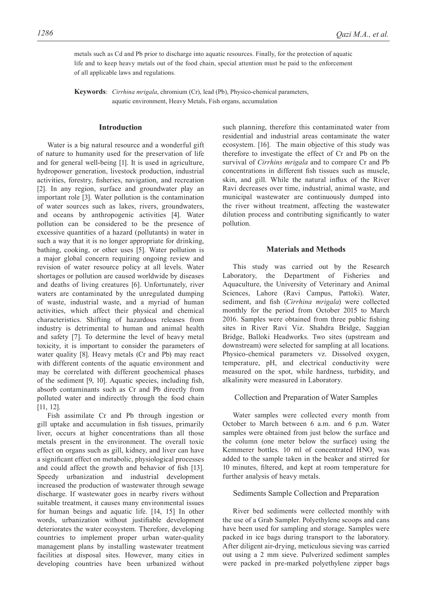metals such as Cd and Pb prior to discharge into aquatic resources. Finally, for the protection of aquatic life and to keep heavy metals out of the food chain, special attention must be paid to the enforcement of all applicable laws and regulations.

**Keywords**: *Cirrhina mrigala*, chromium (Cr), lead (Pb), Physico-chemical parameters, aquatic environment, Heavy Metals, Fish organs, accumulation

#### **Introduction**

Water is a big natural resource and a wonderful gift of nature to humanity used for the preservation of life and for general well-being [1]. It is used in agriculture, hydropower generation, livestock production, industrial activities, forestry, fisheries, navigation, and recreation [2]. In any region, surface and groundwater play an important role [3]. Water pollution is the contamination of water sources such as lakes, rivers, groundwaters, and oceans by anthropogenic activities [4]. Water pollution can be considered to be the presence of excessive quantities of a hazard (pollutants) in water in such a way that it is no longer appropriate for drinking, bathing, cooking, or other uses [5]. Water pollution is a major global concern requiring ongoing review and revision of water resource policy at all levels. Water shortages or pollution are caused worldwide by diseases and deaths of living creatures [6]. Unfortunately, river waters are contaminated by the unregulated dumping of waste, industrial waste, and a myriad of human activities, which affect their physical and chemical characteristics. Shifting of hazardous releases from industry is detrimental to human and animal health and safety [7]. To determine the level of heavy metal toxicity, it is important to consider the parameters of water quality [8]. Heavy metals (Cr and Pb) may react with different contents of the aquatic environment and may be correlated with different geochemical phases of the sediment [9, 10]. Aquatic species, including fish, absorb contaminants such as Cr and Pb directly from polluted water and indirectly through the food chain [11, 12].

Fish assimilate Cr and Pb through ingestion or gill uptake and accumulation in fish tissues, primarily liver, occurs at higher concentrations than all those metals present in the environment. The overall toxic effect on organs such as gill, kidney, and liver can have a significant effect on metabolic, physiological processes and could affect the growth and behavior of fish [13]. Speedy urbanization and industrial development increased the production of wastewater through sewage discharge. If wastewater goes in nearby rivers without suitable treatment, it causes many environmental issues for human beings and aquatic life. [14, 15] In other words, urbanization without justifiable development deteriorates the water ecosystem. Therefore, developing countries to implement proper urban water-quality management plans by installing wastewater treatment facilities at disposal sites. However, many cities in developing countries have been urbanized without

such planning, therefore this contaminated water from residential and industrial areas contaminate the water ecosystem. [16]. The main objective of this study was therefore to investigate the effect of Cr and Pb on the survival of *Cirrhins mrigala* and to compare Cr and Pb concentrations in different fish tissues such as muscle, skin, and gill. While the natural influx of the River Ravi decreases over time, industrial, animal waste, and municipal wastewater are continuously dumped into the river without treatment, affecting the wastewater dilution process and contributing significantly to water pollution.

#### **Materials and Methods**

This study was carried out by the Research Laboratory, the Department of Fisheries and Aquaculture, the University of Veterinary and Animal Sciences, Lahore (Ravi Campus, Pattoki). Water, sediment, and fish (*Cirrhina mrigala*) were collected monthly for the period from October 2015 to March 2016. Samples were obtained from three public fishing sites in River Ravi Viz. Shahdra Bridge, Saggian Bridge, Balloki Headworks. Two sites (upstream and downstream) were selected for sampling at all locations. Physico-chemical parameters vz. Dissolved oxygen, temperature, pH, and electrical conductivity were measured on the spot, while hardness, turbidity, and alkalinity were measured in Laboratory.

#### Collection and Preparation of Water Samples

Water samples were collected every month from October to March between 6 a.m. and 6 p.m. Water samples were obtained from just below the surface and the column (one meter below the surface) using the Kemmerer bottles. 10 ml of concentrated  $HNO<sub>3</sub>$  was added to the sample taken in the beaker and stirred for 10 minutes, filtered, and kept at room temperature for further analysis of heavy metals.

#### Sediments Sample Collection and Preparation

River bed sediments were collected monthly with the use of a Grab Sampler. Polyethylene scoops and cans have been used for sampling and storage. Samples were packed in ice bags during transport to the laboratory. After diligent air-drying, meticulous sieving was carried out using a 2 mm sieve. Pulverized sediment samples were packed in pre-marked polyethylene zipper bags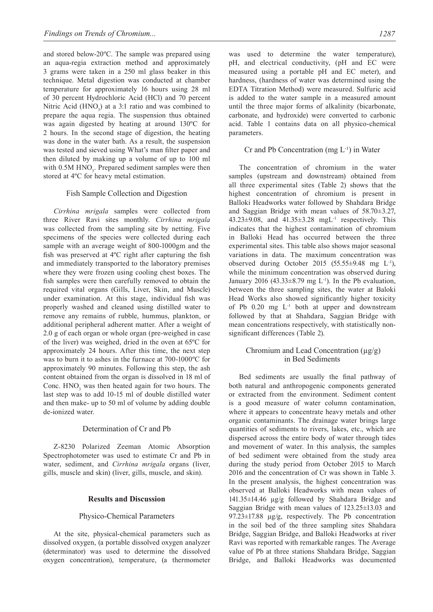and stored below-20ºC. The sample was prepared using an aqua-regia extraction method and approximately 3 grams were taken in a 250 ml glass beaker in this technique. Metal digestion was conducted at chamber temperature for approximately 16 hours using 28 ml of 30 percent Hydrochloric Acid (HCl) and 70 percent Nitric Acid  $(HNO<sub>3</sub>)$  at a 3:1 ratio and was combined to prepare the aqua regia. The suspension thus obtained was again digested by heating at around 130ºC for 2 hours. In the second stage of digestion, the heating was done in the water bath. As a result, the suspension was tested and sieved using What's man filter paper and then diluted by making up a volume of up to 100 ml with  $0.5M$  HNO<sub>3</sub>. Prepared sediment samples were then stored at 4ºC for heavy metal estimation.

#### Fish Sample Collection and Digestion

*Cirrhina mrigala* samples were collected from three River Ravi sites monthly. *Cirrhina mrigala* was collected from the sampling site by netting. Five specimens of the species were collected during each sample with an average weight of 800-1000gm and the fish was preserved at 4ºC right after capturing the fish and immediately transported to the laboratory premises where they were frozen using cooling chest boxes. The fish samples were then carefully removed to obtain the required vital organs (Gills, Liver, Skin, and Muscle) under examination. At this stage, individual fish was properly washed and cleaned using distilled water to remove any remains of rubble, hummus, plankton, or additional peripheral adherent matter. After a weight of 2.0 g of each organ or whole organ (pre-weighed in case of the liver) was weighed, dried in the oven at 65ºC for approximately 24 hours. After this time, the next step was to burn it to ashes in the furnace at 700-1000ºC for approximately 90 minutes. Following this step, the ash content obtained from the organ is dissolved in 18 ml of Conc.  $HNO<sub>3</sub>$  was then heated again for two hours. The last step was to add 10-15 ml of double distilled water and then make- up to 50 ml of volume by adding double de-ionized water.

# Determination of Cr and Pb

Z-8230 Polarized Zeeman Atomic Absorption Spectrophotometer was used to estimate Cr and Pb in water, sediment, and *Cirrhina mrigala* organs (liver, gills, muscle and skin) (liver, gills, muscle, and skin).

#### **Results and Discussion**

#### Physico-Chemical Parameters

At the site, physical-chemical parameters such as dissolved oxygen, (a portable dissolved oxygen analyzer (determinator) was used to determine the dissolved oxygen concentration), temperature, (a thermometer was used to determine the water temperature), pH, and electrical conductivity, (pH and EC were measured using a portable pH and EC meter), and hardness, (hardness of water was determined using the EDTA Titration Method) were measured. Sulfuric acid is added to the water sample in a measured amount until the three major forms of alkalinity (bicarbonate, carbonate, and hydroxide) were converted to carbonic acid. Table 1 contains data on all physico-chemical parameters.

# $Cr$  and Pb Concentration (mg  $L^{-1}$ ) in Water

The concentration of chromium in the water samples (upstream and downstream) obtained from all three experimental sites (Table 2) shows that the highest concentration of chromium is present in Balloki Headworks water followed by Shahdara Bridge and Saggian Bridge with mean values of 58.70±3.27,  $43.23\pm9.08$ , and  $41.35\pm3.28$  mgL<sup>-1</sup> respectively. This indicates that the highest contamination of chromium in Balloki Head has occurred between the three experimental sites. This table also shows major seasonal variations in data. The maximum concentration was observed during October 2015 (55.55 $\pm$ 9.48 mg L<sup>-1</sup>), while the minimum concentration was observed during January 2016 (43.33 $\pm$ 8.79 mg L<sup>-1</sup>). In the Pb evaluation, between the three sampling sites, the water at Baloki Head Works also showed significantly higher toxicity of Pb 0.20 mg L-1 both at upper and downstream followed by that at Shahdara, Saggian Bridge with mean concentrations respectively, with statistically nonsignificant differences (Table 2).

# Chromium and Lead Concentration  $(\mu g/g)$ in Bed Sediments

Bed sediments are usually the final pathway of both natural and anthropogenic components generated or extracted from the environment. Sediment content is a good measure of water column contamination, where it appears to concentrate heavy metals and other organic contaminants. The drainage water brings large quantities of sediments to rivers, lakes, etc., which are dispersed across the entire body of water through tides and movement of water. In this analysis, the samples of bed sediment were obtained from the study area during the study period from October 2015 to March 2016 and the concentration of Cr was shown in Table 3. In the present analysis, the highest concentration was observed at Balloki Headworks with mean values of 141.35±14.46 μg/g followed by Shahdara Bridge and Saggian Bridge with mean values of 123.25±13.03 and 97.23±17.88 μg/g, respectively. The Pb concentration in the soil bed of the three sampling sites Shahdara Bridge, Saggian Bridge, and Balloki Headworks at river Ravi was reported with remarkable ranges. The Average value of Pb at three stations Shahdara Bridge, Saggian Bridge, and Balloki Headworks was documented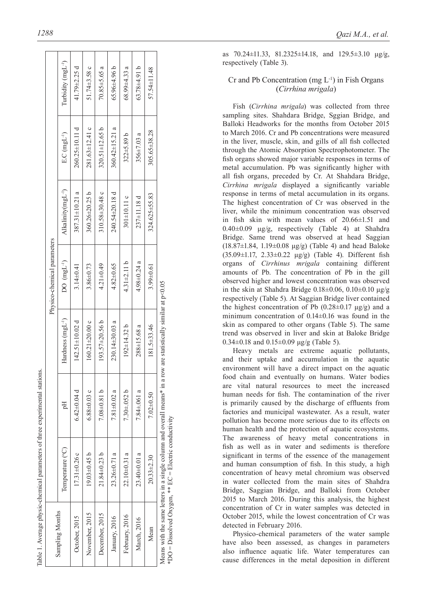|                 |                    |                    |                                                                                                                  | Physico-chemical parameters |                                |                            |                                |
|-----------------|--------------------|--------------------|------------------------------------------------------------------------------------------------------------------|-----------------------------|--------------------------------|----------------------------|--------------------------------|
| Sampling Months | Temperature (°C)   | Ρq                 | Hardness (mgL <sup>-1</sup> )                                                                                    | $DO$ $(mgL^{-1})$           | Alkalinity(mgL <sup>-1</sup> ) | $E.C$ (mgL <sup>-1</sup> ) | Turbidity (mgL <sup>-1</sup> ) |
| October, 2015   | $17.31 \pm 0.26c$  | $6.42 \pm 0.04$ d  | 142.51 $\pm$ 10.02 d                                                                                             | $3.14 \pm 0.41$             | 387.31±10.21 a                 | 260.25±10.11 d             | 41.79 $\pm$ 2.25 d             |
| November, 2015  | $19.03 \pm 0.45$ b | $6.88 + 0.03$ c    | $160.21 \pm 20.00$ c                                                                                             | $3.86 \pm 0.73$             | $360.26 \pm 20.25$ b           | $281.63 \pm 12.41$ c       | 51.74±3.58 c                   |
| December, 2015  | $21.84\pm0.23$ b   | $7.08 \pm 0.81$ b  | $193.57 \pm 20.56$ b                                                                                             | $4.21 \pm 0.49$             | $310.58 \pm 30.48$ c           | $320.51 \pm 12.65$ b       | $70.85 \pm 5.65$ a             |
| January, 2016   | $23.26 \pm 0.71$ a | $7.81 + 0.02$ a    | $230.14 \pm 30.03$ a                                                                                             | $4.82 \pm 0.65$             | 240.54±20.18 d                 | $360.42 \pm 15.21$ a       | $65.96 + 4.96 b$               |
| February, 2016  | 22.10±0.31 a       | $7.30 \pm 0.052 b$ | $192 \pm 14.32 b$                                                                                                | $4.31 \pm 2.11 b$           | $301 \pm 10.11$ c              | $322 \pm 5.89 b$           | $68.99 \pm 4.33$ a             |
| March, 2016     | $23.40 \pm 0.01$ a | 7.84±.061 a        | 288±15.68 a                                                                                                      | $4.98 \pm 0.24$ a           | $237 \pm 11.18$ d              | $356 \pm 7.03$ a           | $63.78 + 4.91 b$               |
| Mean            | $20.33 \pm 2.30$   | $7.02 \pm 0.50$    | 181.5±33.46                                                                                                      | $3.99 \pm 0.61$             | $324.625 \pm 55.83$            | 305.65±38.28               | 57.54±11.48                    |
|                 |                    |                    | Means with the same letters in a single column and overall means* in a row are statistically similar at $p<0.05$ |                             |                                |                            |                                |

Means with the same letters in a single column and overall means\* in a row are statistically similar at p<0.05 are statistically similar at p in a row Means with the same letters in a single column and overall means\*

\*DO = Dissolved Oxygen, \*\* EC = Electric conductivity \*DO = Dissolved Oxygen, \*\* EC = Electric conductivity as  $70.24 \pm 11.33$ ,  $81.2325 \pm 14.18$ , and  $129.5 \pm 3.10$   $\mu$ g/g, respectively (Table 3).

# Cr and Pb Concentration (mg L-1) in Fish Organs (*Cirrhina mrigala*)

Fish (*Cirrhina mrigala*) was collected from three sampling sites. Shahdara Bridge, Sggian Bridge, and Balloki Headworks for the months from October 2015 to March 2016. Cr and Pb concentrations were measured in the liver, muscle, skin, and gills of all fish collected through the Atomic Absorption Spectrophotometer. The fish organs showed major variable responses in terms of metal accumulation. Pb was significantly higher with all fish organs, preceded by Cr. At Shahdara Bridge, *Cirrhina mrigala* displayed a significantly variable response in terms of metal accumulation in its organs. The highest concentration of Cr was observed in the liver, while the minimum concentration was observed in fish skin with mean values of 20.66±1.51 and  $0.40\pm0.09$   $\mu$ g/g, respectively (Table 4) at Shahdra Bridge. Same trend was observed at head Saggian  $(18.87\pm1.84, 1.19\pm0.08 \text{ µg/g})$  (Table 4) and head Baloke  $(35.09 \pm 1.17, 2.33 \pm 0.22 \text{ \mu g/g})$  (Table 4). Different fish organs of *Cirrhinus mrigala* containing different amounts of Pb. The concentration of Pb in the gill observed higher and lowest concentration was observed in the skin at Shahdra Bridge 0.18±0.06, 0.10±0.10 μg/g respectively (Table 5). At Saggian Bridge liver contained the highest concentration of Pb  $(0.28\pm0.17 \text{ µg/g})$  and a minimum concentration of 0.14±0.16 was found in the skin as compared to other organs (Table 5). The same trend was observed in liver and skin at Baloke Bridge  $0.34\pm0.18$  and  $0.15\pm0.09$  μg/g (Table 5).

Heavy metals are extreme aquatic pollutants, and their uptake and accumulation in the aquatic environment will have a direct impact on the aquatic food chain and eventually on humans. Water bodies are vital natural resources to meet the increased human needs for fish. The contamination of the river is primarily caused by the discharge of effluents from factories and municipal wastewater. As a result, water pollution has become more serious due to its effects on human health and the protection of aquatic ecosystems. The awareness of heavy metal concentrations in fish as well as in water and sediments is therefore significant in terms of the essence of the management and human consumption of fish. In this study, a high concentration of heavy metal chromium was observed in water collected from the main sites of Shahdra Bridge, Saggian Bridge, and Balloki from October 2015 to March 2016. During this analysis, the highest concentration of Cr in water samples was detected in October 2015, while the lowest concentration of Cr was detected in February 2016.

Physico-chemical parameters of the water sample have also been assessed, as changes in parameters also influence aquatic life. Water temperatures can cause differences in the metal deposition in different

Table 1. Average physic-chemical parameters of three experimental stations.

Table 1. Average physic-chemical parameters of three experimental stations.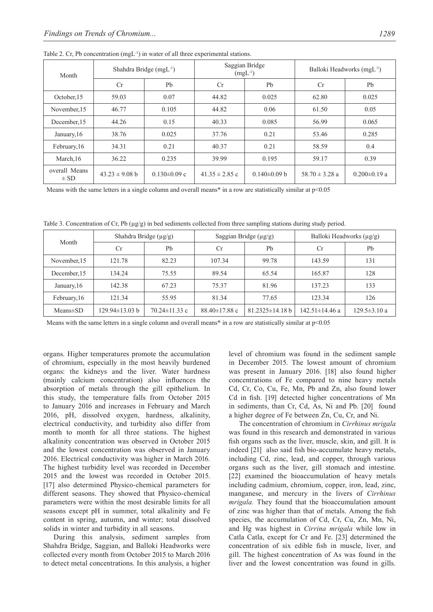| Month                     |                    | Shahdra Bridge (mgL-1) |                    | Saggian Bridge<br>$(mgL^{-1})$ | Balloki Headworks (mgL-1) |                    |
|---------------------------|--------------------|------------------------|--------------------|--------------------------------|---------------------------|--------------------|
|                           | Cr                 | Pb                     | Cr                 | Pb                             | Cr                        | Pb                 |
| October, 15               | 59.03              | 0.07                   | 44.82              | 0.025                          | 62.80                     | 0.025              |
| November, 15              | 46.77              | 0.105                  | 44.82              | 0.06                           | 61.50                     | 0.05               |
| December <sub>,15</sub>   | 44.26              | 0.15                   | 40.33              | 0.085                          | 56.99                     | 0.065              |
| January, 16               | 38.76              | 0.025                  | 37.76              | 0.21                           | 53.46                     | 0.285              |
| February, 16              | 34.31              | 0.21                   | 40.37              | 0.21                           | 58.59                     | 0.4                |
| March, 16                 | 36.22              | 0.235                  | 39.99              | 0.195                          | 59.17                     | 0.39               |
| overall Means<br>$\pm$ SD | $43.23 \pm 9.08$ b | $0.130 \pm 0.09$ c     | $41.35 \pm 2.85$ c | $0.140 \pm 0.09$ b             | $58.70 \pm 3.28$ a        | $0.200 \pm 0.19$ a |

Table 2. Cr, Pb concentration (mgL<sup>-1</sup>) in water of all three experimental stations.

Means with the same letters in a single column and overall means\* in a row are statistically similar at  $p \le 0.05$ 

Table 3. Concentration of Cr, Pb ( $\mu$ g/g) in bed sediments collected from three sampling stations during study period.

| Month          |                | Shahdra Bridge (µg/g) |                     | Saggian Bridge $(\mu g/g)$ |                      | Balloki Headworks $(\mu g/g)$ |
|----------------|----------------|-----------------------|---------------------|----------------------------|----------------------|-------------------------------|
|                | Сr             | Pb                    | Cr.                 | Pb                         | Cr                   | Ph                            |
| November, 15   | 121.78         | 82.23                 | 107.34              | 99.78                      | 143.59               | 131                           |
| December, 15   | 134.24         | 75.55                 | 89.54               | 65.54                      | 165.87               | 128                           |
| January, 16    | 142.38         | 67.23                 | 75.37               | 81.96                      | 137.23               | 133                           |
| February, 16   | 121.34         | 55.95                 | 81.34               | 77.65                      | 123.34               | 126                           |
| $Means \pm SD$ | 129.94±13.03 b | $70.24 \pm 11.33$ c   | $88.40 \pm 17.88$ c | $81.2325\pm14.18$ b        | $142.51 \pm 14.46$ a | $129.5 \pm 3.10$ a            |

Means with the same letters in a single column and overall means\* in a row are statistically similar at p<0.05

organs. Higher temperatures promote the accumulation of chromium, especially in the most heavily burdened organs: the kidneys and the liver. Water hardness (mainly calcium concentration) also influences the absorption of metals through the gill epithelium. In this study, the temperature falls from October 2015 to January 2016 and increases in February and March 2016, pH, dissolved oxygen, hardness, alkalinity, electrical conductivity, and turbidity also differ from month to month for all three stations. The highest alkalinity concentration was observed in October 2015 and the lowest concentration was observed in January 2016. Electrical conductivity was higher in March 2016. The highest turbidity level was recorded in December 2015 and the lowest was recorded in October 2015. [17] also determined Physico-chemical parameters for different seasons. They showed that Physico-chemical parameters were within the most desirable limits for all seasons except pH in summer, total alkalinity and Fe content in spring, autumn, and winter; total dissolved solids in winter and turbidity in all seasons.

During this analysis, sediment samples from Shahdra Bridge, Saggian, and Balloki Headworks were collected every month from October 2015 to March 2016 to detect metal concentrations. In this analysis, a higher level of chromium was found in the sediment sample in December 2015. The lowest amount of chromium was present in January 2016. [18] also found higher concentrations of Fe compared to nine heavy metals Cd, Cr, Co, Cu, Fe, Mn, Pb and Zn, also found lower Cd in fish. [19] detected higher concentrations of Mn in sediments, than Cr, Cd, As, Ni and Pb. [20] found a higher degree of Fe between Zn, Cu, Cr, and Ni.

The concentration of chromium in *Cirrhinus mrigala* was found in this research and demonstrated in various fish organs such as the liver, muscle, skin, and gill. It is indeed [21] also said fish bio-accumulate heavy metals, including Cd, zinc, lead, and copper, through various organs such as the liver, gill stomach and intestine. [22] examined the bioaccumulation of heavy metals including cadmium, chromium, copper, iron, lead, zinc, manganese, and mercury in the livers of *Cirrhinus mrigala.* They found that the bioaccumulation amount of zinc was higher than that of metals. Among the fish species, the accumulation of Cd, Cr, Cu, Zn, Mn, Ni, and Hg was highest in *Cirrina mrigala* while low in Catla Catla, except for Cr and Fe. [23] determined the concentration of six edible fish in muscle, liver, and gill. The highest concentration of As was found in the liver and the lowest concentration was found in gills.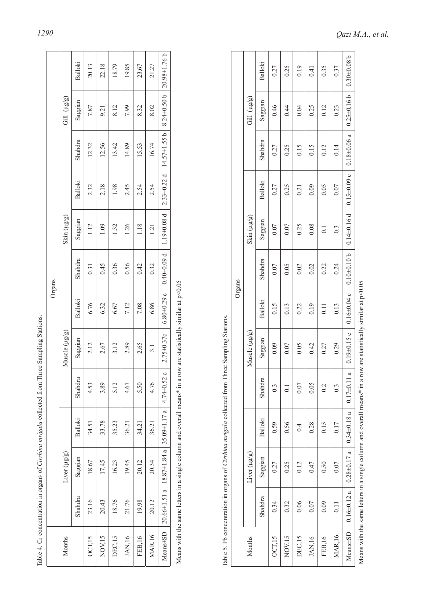| i<br>J<br>i                               |
|-------------------------------------------|
| Ī<br>l                                    |
| ׇ֚֬֡<br>l                                 |
| $\overline{a}$<br>l                       |
| )                                         |
|                                           |
|                                           |
| J<br>l                                    |
|                                           |
| ׇ֖֖֖֖֖֖֖֖֖ׅ֪ׅ֪֪ׅ֚֚֚֚֚֚֚֚֚֚֚֚֚֡֝֓ <b>֓</b> |
| l<br>l                                    |
| ĺ                                         |
| d<br>ś<br>ż                               |

|                      |                    |                    | Table 4. Cr concentration in organs of Cirrhina mrigala collected from                                           |                            | Three Sampling Stations |                   |                    |                    |                            |                    |                   |                    |
|----------------------|--------------------|--------------------|------------------------------------------------------------------------------------------------------------------|----------------------------|-------------------------|-------------------|--------------------|--------------------|----------------------------|--------------------|-------------------|--------------------|
|                      |                    |                    |                                                                                                                  |                            |                         |                   | Organs             |                    |                            |                    |                   |                    |
| Months               |                    | Liver (µg/g)       |                                                                                                                  |                            | Muscle (µg/g)           |                   |                    | Skin (µg/g)        |                            |                    | Gill (µg/g)       |                    |
|                      | Shahdra            | Saggian            | Balloki                                                                                                          | p,<br><b>Shahdra</b>       | Saggian                 | Balloki           | Shahdra            | Saggian            | Balloki                    | Shahdra            | Saggian           | Balloki            |
| OCT <sub>15</sub>    | 23.16              | 18.67              | 34.51                                                                                                            | 4.53                       | 2.12                    | 6.76              | 0.31               | 1.12               | 2.32                       | 12.32              | 7.87              | 20.13              |
| NOV,15               | 20.43              | 17.45              | 33.78                                                                                                            | 3.89                       | 2.67                    | 6.32              | 0.45               | 1.09               | 2.18                       | 12.56              | 9.21              | 22.18              |
| DEC,15               | 18.76              | 16.23              | 35.23                                                                                                            | 5.12                       | 3.12                    | 6.67              | 0.36               | 1.32               | 1.98                       | 13.42              | 8.12              | 18.79              |
| JAN, 16              | 21.76              | 19.45              | 36.21                                                                                                            | 4.67                       | 2.89                    | 7.12              | 0.56               | 1.26               | 2.45                       | 14.89              | 7.99              | 19.85              |
| FEB,16               | 19.98              | 20.12              | 34.21                                                                                                            | 5.50                       | 2.65                    | 7.08              | 0.42               | 1.18               | 2.54                       | 15.53              | 8.32              | 23.67              |
| <b>MAR,16</b>        | 20.12              | 20.34              | 36.21                                                                                                            | 4.76                       | $\overline{3}$ .        | 6.86              | 0.32               | 1.21               | 2.54                       | 16.74              | 8.02              | 21.27              |
| Means <sup>±SD</sup> | $20.66 \pm 1.51$ a | $18.87 \pm 1.84$ a | $35.09 \pm 1.17$ a                                                                                               | $\circ$<br>$4.74 \pm 0.52$ | $2.75 \pm 0.37c$        | $6.80 + 0.29$ c   | ರ<br>$0.40 + 0.09$ | d<br>1.19±0.08     | þ<br>$2.33 \pm 0.22$       | $14.57 \pm 1.55$ b | $8.24 \pm 0.50$ b | $20.98 \pm 1.76$ b |
| Months               |                    | Liver (µg/g)       |                                                                                                                  |                            | Muscle (µg/g)           |                   | Organs             | $\sin(\mu g/g)$    |                            |                    | Gill (µg/g)       |                    |
|                      | Shahdra            | Saggian            | Balloki                                                                                                          | Shahdra                    | Saggian                 | Balloki           | Shahdra            | Saggian            | Balloki                    | Shahdra            | Saggian           | <b>Balloki</b>     |
| OCT <sub>15</sub>    | 0.34               | 0.27               | 0.59                                                                                                             | $0.\overline{3}$           | 0.09                    | 0.15              | 0.07               | 0.07               | 0.27                       | 0.27               | 0.46              | 0.27               |
| NOV,15               | 0.32               | 0.25               | 0.56                                                                                                             | $\overline{0}$ .           | 0.07                    | 0.13              | 0.05               | 0.07               | 0.25                       | 0.25               | 0.44              | 0.25               |
| DEC,15               | 0.06               | 0.12               | 0.4                                                                                                              | 0.07                       | 0.05                    | 0.22              | 0.02               | 0.25               | 0.21                       | 0.15               | 0.04              | 0.19               |
| JAN,16               | 0.07               | 0.47               | 0.28                                                                                                             | 0.05                       | 0.42                    | 0.19              | 0.02               | 0.08               | 0.09                       | 0.15               | 0.25              | 0.41               |
| FEB,16               | 0.09               | 0.50               | 0.15                                                                                                             | 0.2                        | 0.27                    | $\overline{0.11}$ | 0.22               | $\overline{0}$ .   | 0.05                       | 0.12               | 0.12              | 0.35               |
| <b>MAR,16</b>        | 0.11               | 0.07               | 0.17                                                                                                             | $0.\overline{3}$           | 0.29                    | 0.13              | 0.24               | 0.3                | 0.07                       | 0.14               | 0.23              | 0.37               |
| Means <sup>±SD</sup> | $0.16 + 0.12a$     | $0.28 + 0.17$ a    | $0.34 + 0.18a$                                                                                                   | ß<br>$0.17\pm0.11$         | $0.19 + 0.15c$          | $0.16 + 0.04c$    | $0.10 + 0.10 b$    | ರ<br>$0.14 + 0.16$ | $\circ$<br>$0.15 \pm 0.09$ | ß<br>$0.18 + 0.06$ | $0.25 \pm 0.16$ b | $0.30 + 0.08$ b    |
|                      |                    |                    | Means with the same letters in a single column and overall means* in a row are statistically similar at $p<0.05$ |                            |                         |                   |                    |                    |                            |                    |                   |                    |

|            | ↺                      |         |           |  |
|------------|------------------------|---------|-----------|--|
|            |                        | Shahdra | 0.27      |  |
|            |                        | Balloki | 0.27      |  |
|            | $\sin(\mu g)$          | Saggian | 0.07      |  |
|            |                        | Shahdra | 0.07      |  |
| $\sim$ nna |                        | Balloki | 0.15      |  |
|            | $\Lambda$ uscle (µg/g) | saggian | 0.09      |  |
|            |                        | Shahdra | 0.3       |  |
|            |                        | Balloki | 0.59      |  |
|            | Thet (ha/s)            | retast  | -27       |  |
|            |                        | hahd    | $\dot{c}$ |  |
|            |                        |         | VCT,15    |  |

| )                   |
|---------------------|
|                     |
|                     |
| l                   |
|                     |
| $\overline{ }$<br>Ì |
|                     |
|                     |
| Ē<br>ĺ              |
|                     |
| ֚֘֝֬                |
| l                   |
|                     |
|                     |
|                     |
|                     |
|                     |
|                     |
|                     |
| į                   |
| I                   |
|                     |
|                     |
|                     |
|                     |
|                     |
|                     |
|                     |
| l                   |
| l                   |
|                     |
| i<br>)<br>ı         |
|                     |
| i<br>!              |
|                     |
|                     |
|                     |
|                     |
|                     |
|                     |
|                     |
|                     |
|                     |
| i                   |
|                     |
|                     |
|                     |
|                     |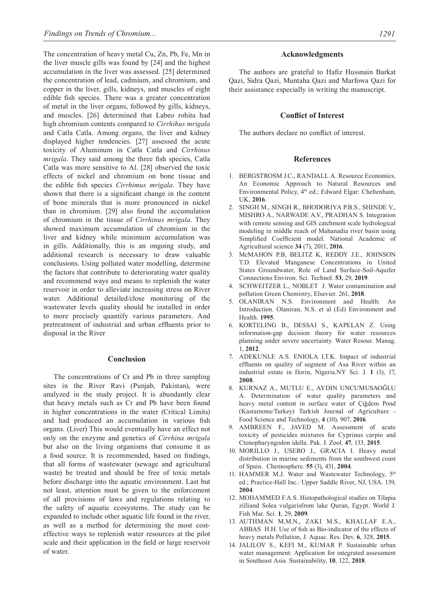The concentration of heavy metal Cu, Zn, Pb, Fe, Mn in the liver muscle gills was found by [24] and the highest accumulation in the liver was assessed. [25] determined the concentration of lead, cadmium, and chromium, and copper in the liver, gills, kidneys, and muscles of eight edible fish species. There was a greater concentration of metal in the liver organs, followed by gills, kidneys, and muscles. [26] determined that Labeo rohita had high chromium contents compared to *Cirrhihus mrigala* and Catla Catla. Among organs, the liver and kidney displayed higher tendencies. [27] assessed the acute toxicity of Aluminum in Catla Catla and *Cirrhinus mrigala*. They said among the three fish species, Catla Catla was more sensitive to Al. [28] observed the toxic effects of nickel and chromium on bone tissue and the edible fish species *Cirrhimus mrigala*. They have shown that there is a significant change in the content of bone minerals that is more pronounced in nickel than in chromium. [29] also found the accumulation of chromium in the tissue of *Cirrhinus mrigala*. They showed maximum accumulation of chromium in the liver and kidney while minimum accumulation was in gills. Additionally, this is an ongoing study, and additional research is necessary to draw valuable conclusions. Using polluted water modelling, determine the factors that contribute to deteriorating water quality and recommend ways and means to replenish the water reservoir in order to alleviate increasing stress on River water. Additional detailed/close monitoring of the wastewater levels quality should be installed in order to more precisely quantify various parameters. And pretreatment of industrial and urban effluents prior to disposal in the River

#### **Conclusion**

The concentrations of Cr and Pb in three sampling sites in the River Ravi (Punjab, Pakistan), were analyzed in the study project. It is abundantly clear that heavy metals such as Cr and Pb have been found in higher concentrations in the water (Critical Limits) and had produced an accumulation in various fish organs. (Liver) This would eventually have an effect not only on the enzyme and genetics of *Cirrhina mrigala* but also on the living organisms that consume it as a food source. It is recommended, based on findings, that all forms of wastewater (sewage and agricultural waste) be treated and should be free of toxic metals before discharge into the aquatic environment. Last but not least, attention must be given to the enforcement of all provisions of laws and regulations relating to the safety of aquatic ecosystems. The study can be expanded to include other aquatic life found in the river, as well as a method for determining the most costeffective ways to replenish water resources at the pilot scale and their application in the field or large reservoir of water.

#### **Acknowledgments**

The authors are grateful to Hafiz Hussnain Barkat Qazi, Sidra Qazi, Muntaha Qazi and Marfowa Qazi for their assistance especially in writing the manuscript.

#### **Conflict of Interest**

The authors declare no conflict of interest.

#### **References**

- 1. BERGSTROsM J.C., RANDALL A. Resource Economics. An Economic Approach to Natural Resources and Environmental Policy, 4<sup>th</sup> ed.; Edward Elgar: Cheltenham, UK, **2016**.
- 2. SINGH M., SINGH R., BHODORIYA P.B.S., SHINDE V., MISHRO A., NARWADE A.V., PRADHAN S. Integration with remote sensing and GIS catchment scale hydrological modeling in middle reach of Mahanadia river basin using Simplified Coefficient model. National Academic of Agricultural science **34** (7), 2011, **2016**.
- 3. McMAHON P.B, BELITZ K, REDDY J.E., JOHNSON T.D. Elevated Manganese Concentrations in United States Groundwater, Role of Land Surface-Soil-Aquifer Connections Environ. Sci. Technol. **53**, 29, **2019**.
- 4. SCHWEITZER L., NOBLET J. Water contamination and pollution Green Chemistry, Elsevier. 261, **2018**.
- 5. Olaniran N.S. Environment and Health: An Introduction. Olaniran, N.S. et al (Ed) Environment and Health. **1995**.
- 6. KORTELING B., DESSAI S., KAPELAN Z. Using information-gap decision theory for water resources planning under severe uncertainty. Water Resour. Manag. 1, **2012**.
- 7. ADEKUNLE A.S. ENIOLA I.T.K. Impact of industrial effluents on quality of segment of Asa River within an industrial estate in Ilorin, Nigeria.NY Sci. J. **1** (1), 17, **2008**.
- 8. KURNAZ A., MUTLU E., AYDIN UNCUMUSAOĞLU A. Determination of water quality parameters and heavy metal content in surface water of Çiğdem Pond (Kastamonu/Turkey) Turkish Journal of Agriculture - Food Science and Technology, **4** (10), 907, **2016**.
- 9. AMBREEN F., JAVED M. Assessment of acute toxicity of pesticides mixtures for Cyprinus carpio and Ctenopharyngodon idella. Pak. J. Zool. **47**, 133, **2015**.
- 10. MORILLO J., USERO J., GRACIA I. Heavy metal distribution in marine sediments from the southwest coast of Spain. Chemosphere. **55** (3), 431, **2004**.
- 11. HAMMER M.J. Water and Wastewater Technology, 5th ed.; Practice-Hall Inc.: Upper Saddle River, NJ, USA. 139, **2004**.
- 12. MOHAMMED F.A.S. Histopathological studies on Tilapia zilliand Solea vulgarisfrom lake Quran, Egypt. World J. Fish Mar. Sci. **1**, 29, **2009**.
- 13. AUTHMAN M.M.N., ZAKI M.S., KHALLAF E.A., ABBAS H.H. Use of fish as Bio-indicator of the effects of heavy metals Pollution, J. Aquac. Res. Dev. **6**, 328, **2015**.
- 14. JALILOV S., KEFI M., KUMAR P. Sustainable urban water management: Application for integrated assessment in Southeast Asia. Sustainability, **10**, 122, **2018**.